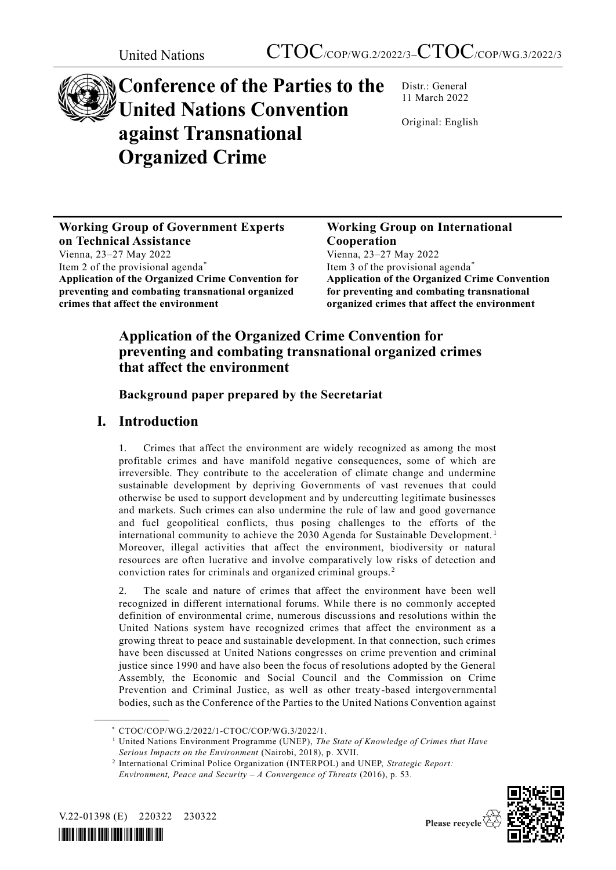

# **Conference of the Parties to the United Nations Convention against Transnational Organized Crime**

Distr.: General 11 March 2022

Original: English

**Working Group of Government Experts on Technical Assistance** Vienna, 23–27 May 2022 Item 2 of the provisional agenda\* **Application of the Organized Crime Convention for preventing and combating transnational organized crimes that affect the environment**

## **Working Group on International Cooperation**

Vienna, 23–27 May 2022 Item 3 of the provisional agenda\* **Application of the Organized Crime Convention for preventing and combating transnational organized crimes that affect the environment**

## **Application of the Organized Crime Convention for preventing and combating transnational organized crimes that affect the environment**

**Background paper prepared by the Secretariat**

# **I. Introduction**

1. Crimes that affect the environment are widely recognized as among the most profitable crimes and have manifold negative consequences, some of which are irreversible. They contribute to the acceleration of climate change and undermine sustainable development by depriving Governments of vast revenues that could otherwise be used to support development and by undercutting legitimate businesses and markets. Such crimes can also undermine the rule of law and good governance and fuel geopolitical conflicts, thus posing challenges to the efforts of the international community to achieve the 2030 Agenda for Sustainable Development. <sup>1</sup> Moreover, illegal activities that affect the environment, biodiversity or natural resources are often lucrative and involve comparatively low risks of detection and conviction rates for criminals and organized criminal groups. <sup>2</sup>

The scale and nature of crimes that affect the environment have been well recognized in different international forums. While there is no commonly accepted definition of environmental crime, numerous discussions and resolutions within the United Nations system have recognized crimes that affect the environment as a growing threat to peace and sustainable development. In that connection, such crimes have been discussed at United Nations congresses on crime prevention and criminal justice since 1990 and have also been the focus of resolutions adopted by the General Assembly, the Economic and Social Council and the Commission on Crime Prevention and Criminal Justice, as well as other treaty-based intergovernmental bodies, such as the Conference of the Parties to the United Nations Convention against

<sup>2</sup> International Criminal Police Organization (INTERPOL) and UNEP, *Strategic Report: Environment, Peace and Security – A Convergence of Threats* (2016), p. 53.





<sup>\*</sup> CTOC/COP/WG.2/2022/1-CTOC/COP/WG.3/2022/1.

<sup>1</sup> United Nations Environment Programme (UNEP), *The State of Knowledge of Crimes that Have Serious Impacts on the Environment* (Nairobi, 2018), p. XVII.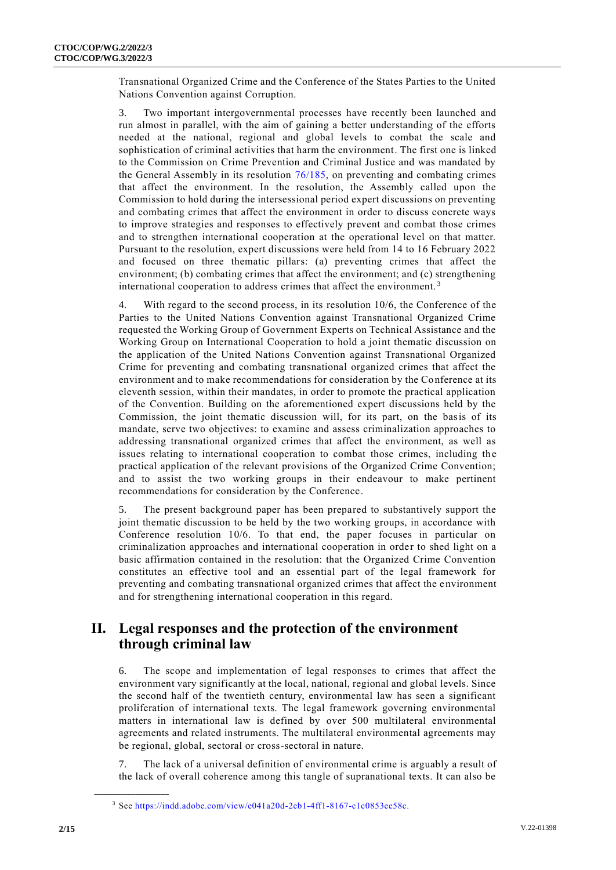Transnational Organized Crime and the Conference of the States Parties to the United Nations Convention against Corruption.

3. Two important intergovernmental processes have recently been launched and run almost in parallel, with the aim of gaining a better understanding of the efforts needed at the national, regional and global levels to combat the scale and sophistication of criminal activities that harm the environment. The first one is linked to the Commission on Crime Prevention and Criminal Justice and was mandated by the General Assembly in its resolution [76/185,](http://undocs.org/A/RES/76/185) on preventing and combating crimes that affect the environment. In the resolution, the Assembly called upon the Commission to hold during the intersessional period expert discussions on preventing and combating crimes that affect the environment in order to discuss concrete ways to improve strategies and responses to effectively prevent and combat those crimes and to strengthen international cooperation at the operational level on that matter. Pursuant to the resolution, expert discussions were held from 14 to 16 February 2022 and focused on three thematic pillars: (a) preventing crimes that affect the environment; (b) combating crimes that affect the environment; and (c) strengthening international cooperation to address crimes that affect the environment. <sup>3</sup>

4. With regard to the second process, in its resolution 10/6, the Conference of the Parties to the United Nations Convention against Transnational Organized Crime requested the Working Group of Government Experts on Technical Assistance and the Working Group on International Cooperation to hold a joint thematic discussion on the application of the United Nations Convention against Transnational Organized Crime for preventing and combating transnational organized crimes that affect the environment and to make recommendations for consideration by the Conference at its eleventh session, within their mandates, in order to promote the practical application of the Convention. Building on the aforementioned expert discussions held by the Commission, the joint thematic discussion will, for its part, on the basis of its mandate, serve two objectives: to examine and assess criminalization approaches to addressing transnational organized crimes that affect the environment, as well as issues relating to international cooperation to combat those crimes, including the practical application of the relevant provisions of the Organized Crime Convention; and to assist the two working groups in their endeavour to make pertinent recommendations for consideration by the Conference.

5. The present background paper has been prepared to substantively support the joint thematic discussion to be held by the two working groups, in accordance with Conference resolution 10/6. To that end, the paper focuses in particular on criminalization approaches and international cooperation in order to shed light on a basic affirmation contained in the resolution: that the Organized Crime Convention constitutes an effective tool and an essential part of the legal framework for preventing and combating transnational organized crimes that affect the environment and for strengthening international cooperation in this regard.

## **II. Legal responses and the protection of the environment through criminal law**

6. The scope and implementation of legal responses to crimes that affect the environment vary significantly at the local, national, regional and global levels. Since the second half of the twentieth century, environmental law has seen a significant proliferation of international texts. The legal framework governing environmental matters in international law is defined by over 500 multilateral environmental agreements and related instruments. The multilateral environmental agreements may be regional, global, sectoral or cross-sectoral in nature.

7. The lack of a universal definition of environmental crime is arguably a result of the lack of overall coherence among this tangle of supranational texts. It can also be

<sup>3</sup> See [https://indd.adobe.com/view/e041a20d-2eb1-4ff1-8167-c1c0853ee58c.](https://indd.adobe.com/view/e041a20d-2eb1-4ff1-8167-c1c0853ee58c)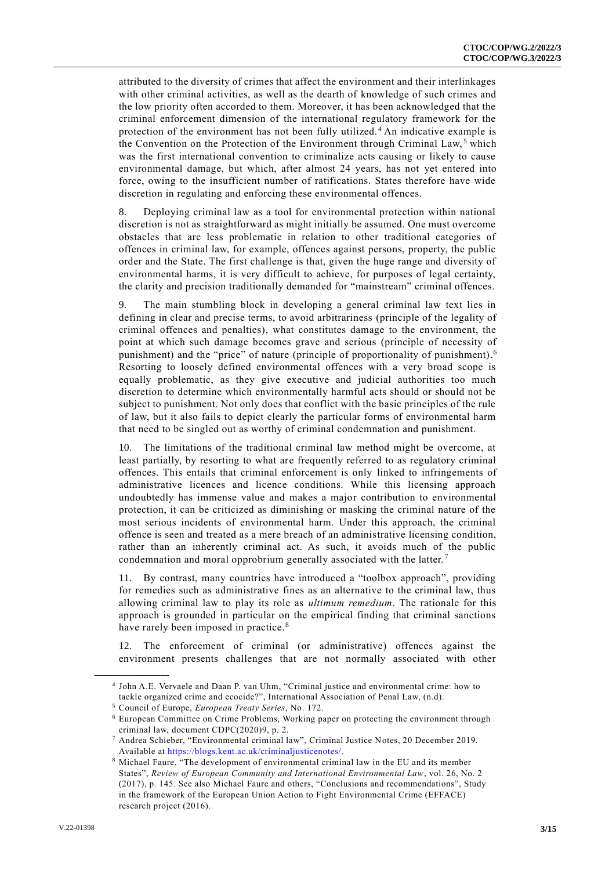attributed to the diversity of crimes that affect the environment and their interlinkages with other criminal activities, as well as the dearth of knowledge of such crimes and the low priority often accorded to them. Moreover, it has been acknowledged that the criminal enforcement dimension of the international regulatory framework for the protection of the environment has not been fully utilized. <sup>4</sup> An indicative example is the Convention on the Protection of the Environment through Criminal Law,<sup>5</sup> which was the first international convention to criminalize acts causing or likely to cause environmental damage, but which, after almost 24 years, has not yet entered into force, owing to the insufficient number of ratifications. States therefore have wide discretion in regulating and enforcing these environmental offences.

8. Deploying criminal law as a tool for environmental protection within national discretion is not as straightforward as might initially be assumed. One must overcome obstacles that are less problematic in relation to other traditional categories of offences in criminal law, for example, offences against persons, property, the public order and the State. The first challenge is that, given the huge range and diversity of environmental harms, it is very difficult to achieve, for purposes of legal certainty, the clarity and precision traditionally demanded for "mainstream" criminal offences.

9. The main stumbling block in developing a general criminal law text lies in defining in clear and precise terms, to avoid arbitrariness (principle of the legality of criminal offences and penalties), what constitutes damage to the environment, the point at which such damage becomes grave and serious (principle of necessity of punishment) and the "price" of nature (principle of proportionality of punishment). 6 Resorting to loosely defined environmental offences with a very broad scope is equally problematic, as they give executive and judicial authorities too much discretion to determine which environmentally harmful acts should or should not be subject to punishment. Not only does that conflict with the basic principles of the rule of law, but it also fails to depict clearly the particular forms of environmental harm that need to be singled out as worthy of criminal condemnation and punishment.

10. The limitations of the traditional criminal law method might be overcome, at least partially, by resorting to what are frequently referred to as regulatory criminal offences. This entails that criminal enforcement is only linked to infringements of administrative licences and licence conditions. While this licensing approach undoubtedly has immense value and makes a major contribution to environmental protection, it can be criticized as diminishing or masking the criminal nature of the most serious incidents of environmental harm. Under this approach, the criminal offence is seen and treated as a mere breach of an administrative licensing condition, rather than an inherently criminal act. As such, it avoids much of the public condemnation and moral opprobrium generally associated with the latter.<sup>7</sup>

11. By contrast, many countries have introduced a "toolbox approach", providing for remedies such as administrative fines as an alternative to the criminal law, thus allowing criminal law to play its role as *ultimum remedium*. The rationale for this approach is grounded in particular on the empirical finding that criminal sanctions have rarely been imposed in practice.<sup>8</sup>

12. The enforcement of criminal (or administrative) offences against the environment presents challenges that are not normally associated with other

<sup>4</sup> John A.E. Vervaele and Daan P. van Uhm, "Criminal justice and environmental crime: how to tackle organized crime and ecocide?", International Association of Penal Law, (n.d).

<sup>5</sup> Council of Europe, *European Treaty Series*, No. 172.

<sup>6</sup> European Committee on Crime Problems, Working paper on protecting the environment through criminal law, document CDPC(2020)9, p. 2.

<sup>7</sup> Andrea Schieber, "Environmental criminal law", Criminal Justice Notes, 20 December 2019. Available at [https://blogs.kent.ac.uk/criminaljusticenotes/.](https://blogs.kent.ac.uk/criminaljusticenotes/)

<sup>8</sup> Michael Faure, "The development of environmental criminal law in the EU and its member States", *Review of European Community and International Environmental Law*, vol. 26, No. 2 (2017), p. 145. See also Michael Faure and others, "Conclusions and recommendations", Study in the framework of the European Union Action to Fight Environmental Crime (EFFACE) research project (2016).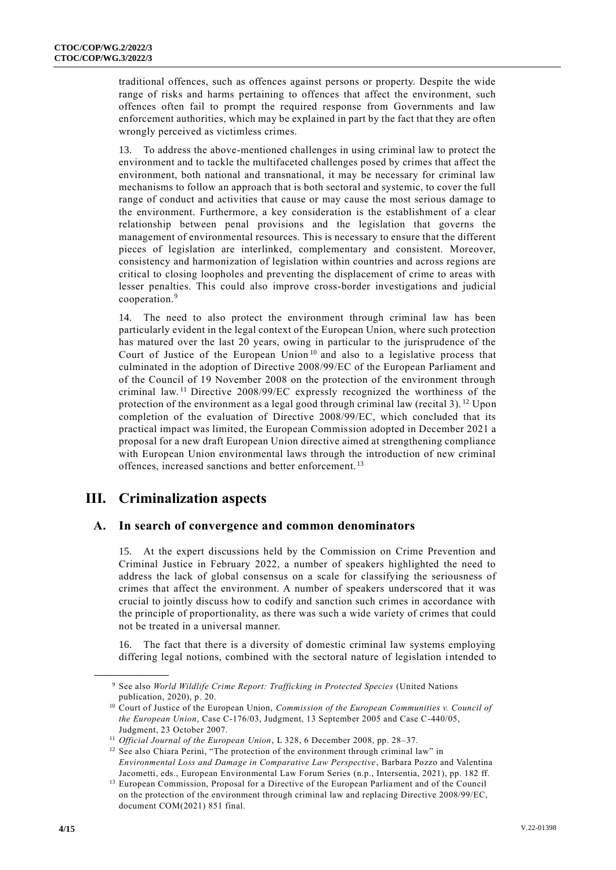traditional offences, such as offences against persons or property. Despite the wide range of risks and harms pertaining to offences that affect the environment, such offences often fail to prompt the required response from Governments and law enforcement authorities, which may be explained in part by the fact that they are often wrongly perceived as victimless crimes.

13. To address the above-mentioned challenges in using criminal law to protect the environment and to tackle the multifaceted challenges posed by crimes that affect the environment, both national and transnational, it may be necessary for criminal law mechanisms to follow an approach that is both sectoral and systemic, to cover the full range of conduct and activities that cause or may cause the most serious damage to the environment. Furthermore, a key consideration is the establishment of a clear relationship between penal provisions and the legislation that governs the management of environmental resources. This is necessary to ensure that the different pieces of legislation are interlinked, complementary and consistent. Moreover, consistency and harmonization of legislation within countries and across regions are critical to closing loopholes and preventing the displacement of crime to areas with lesser penalties. This could also improve cross-border investigations and judicial cooperation.<sup>9</sup>

14. The need to also protect the environment through criminal law has been particularly evident in the legal context of the European Union, where such protection has matured over the last 20 years, owing in particular to the jurisprudence of the Court of Justice of the European Union<sup>10</sup> and also to a legislative process that culminated in the adoption of Directive 2008/99/EC of the European Parliament and of the Council of 19 November 2008 on the protection of the environment through criminal law. <sup>11</sup> Directive 2008/99/EC expressly recognized the worthiness of the protection of the environment as a legal good through criminal law (recital 3).<sup>12</sup> Upon completion of the evaluation of Directive 2008/99/EC, which concluded that its practical impact was limited, the European Commission adopted in December 2021 a proposal for a new draft European Union directive aimed at strengthening compliance with European Union environmental laws through the introduction of new criminal offences, increased sanctions and better enforcement. <sup>13</sup>

# **III. Criminalization aspects**

**\_\_\_\_\_\_\_\_\_\_\_\_\_\_\_\_\_\_**

#### **A. In search of convergence and common denominators**

15. At the expert discussions held by the Commission on Crime Prevention and Criminal Justice in February 2022, a number of speakers highlighted the need to address the lack of global consensus on a scale for classifying the seriousness of crimes that affect the environment. A number of speakers underscored that it was crucial to jointly discuss how to codify and sanction such crimes in accordance with the principle of proportionality, as there was such a wide variety of crimes that could not be treated in a universal manner.

16. The fact that there is a diversity of domestic criminal law systems employing differing legal notions, combined with the sectoral nature of legislation i ntended to

<sup>9</sup> See also *World Wildlife Crime Report: Trafficking in Protected Species* (United Nations publication, 2020), p. 20.

<sup>10</sup> Court of Justice of the European Union, *Commission of the European Communities v. Council of the European Union*, Case C-176/03, Judgment, 13 September 2005 and Case C-440/05, Judgment, 23 October 2007.

<sup>11</sup> *Official Journal of the European Union*, L 328, 6 December 2008, pp. 28–37.

<sup>&</sup>lt;sup>12</sup> See also Chiara Perini, "The protection of the environment through criminal law" in *Environmental Loss and Damage in Comparative Law Perspective*, Barbara Pozzo and Valentina Jacometti, eds., European Environmental Law Forum Series (n.p., Intersentia, 2021), pp. 182 ff.

<sup>&</sup>lt;sup>13</sup> European Commission, Proposal for a Directive of the European Parliament and of the Council on the protection of the environment through criminal law and replacing Directive 2008/99/EC, document COM(2021) 851 final.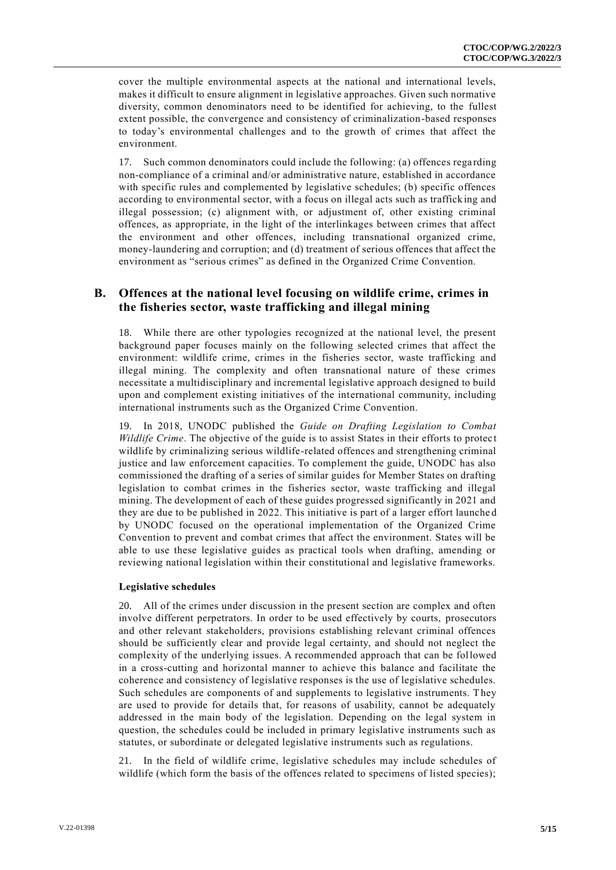cover the multiple environmental aspects at the national and international levels, makes it difficult to ensure alignment in legislative approaches. Given such normative diversity, common denominators need to be identified for achieving, to the fullest extent possible, the convergence and consistency of criminalization-based responses to today's environmental challenges and to the growth of crimes that affect the environment.

17. Such common denominators could include the following: (a) offences rega rding non-compliance of a criminal and/or administrative nature, established in accordance with specific rules and complemented by legislative schedules; (b) specific offences according to environmental sector, with a focus on illegal acts such as traffick ing and illegal possession; (c) alignment with, or adjustment of, other existing criminal offences, as appropriate, in the light of the interlinkages between crimes that affect the environment and other offences, including transnational organized crime, money-laundering and corruption; and (d) treatment of serious offences that affect the environment as "serious crimes" as defined in the Organized Crime Convention.

#### **B. Offences at the national level focusing on wildlife crime, crimes in the fisheries sector, waste trafficking and illegal mining**

18. While there are other typologies recognized at the national level, the present background paper focuses mainly on the following selected crimes that affect the environment: wildlife crime, crimes in the fisheries sector, waste trafficking and illegal mining. The complexity and often transnational nature of these crimes necessitate a multidisciplinary and incremental legislative approach designed to build upon and complement existing initiatives of the international community, including international instruments such as the Organized Crime Convention.

19. In 2018, UNODC published the *Guide on Drafting Legislation to Combat Wildlife Crime*. The objective of the guide is to assist States in their efforts to protec t wildlife by criminalizing serious wildlife-related offences and strengthening criminal justice and law enforcement capacities. To complement the guide, UNODC has also commissioned the drafting of a series of similar guides for Member States on drafting legislation to combat crimes in the fisheries sector, waste trafficking and illegal mining. The development of each of these guides progressed significantly in 2021 and they are due to be published in 2022. This initiative is part of a larger effort launche d by UNODC focused on the operational implementation of the Organized Crime Convention to prevent and combat crimes that affect the environment. States will be able to use these legislative guides as practical tools when drafting, amending or reviewing national legislation within their constitutional and legislative frameworks.

#### **Legislative schedules**

20. All of the crimes under discussion in the present section are complex and often involve different perpetrators. In order to be used effectively by courts, prosecutors and other relevant stakeholders, provisions establishing relevant criminal offences should be sufficiently clear and provide legal certainty, and should not neglect the complexity of the underlying issues. A recommended approach that can be followed in a cross-cutting and horizontal manner to achieve this balance and facilitate the coherence and consistency of legislative responses is the use of legislative schedules. Such schedules are components of and supplements to legislative instruments. They are used to provide for details that, for reasons of usability, cannot be adequately addressed in the main body of the legislation. Depending on the legal system in question, the schedules could be included in primary legislative instruments such as statutes, or subordinate or delegated legislative instruments such as regulations.

21. In the field of wildlife crime, legislative schedules may include schedules of wildlife (which form the basis of the offences related to specimens of listed species);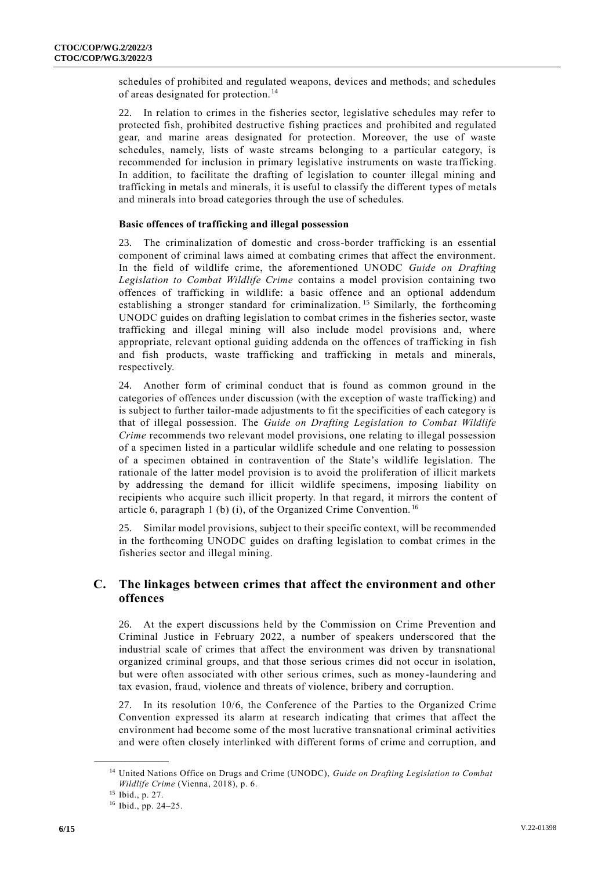schedules of prohibited and regulated weapons, devices and methods; and schedules of areas designated for protection.<sup>14</sup>

22. In relation to crimes in the fisheries sector, legislative schedules may refer to protected fish, prohibited destructive fishing practices and prohibited and regulated gear, and marine areas designated for protection. Moreover, the use of waste schedules, namely, lists of waste streams belonging to a particular category, is recommended for inclusion in primary legislative instruments on waste tra fficking. In addition, to facilitate the drafting of legislation to counter illegal mining and trafficking in metals and minerals, it is useful to classify the different types of metals and minerals into broad categories through the use of schedules.

#### **Basic offences of trafficking and illegal possession**

23. The criminalization of domestic and cross-border trafficking is an essential component of criminal laws aimed at combating crimes that affect the environment. In the field of wildlife crime, the aforementioned UNODC *Guide on Drafting Legislation to Combat Wildlife Crime* contains a model provision containing two offences of trafficking in wildlife: a basic offence and an optional addendum establishing a stronger standard for criminalization.<sup>15</sup> Similarly, the forthcoming UNODC guides on drafting legislation to combat crimes in the fisheries sector, waste trafficking and illegal mining will also include model provisions and, where appropriate, relevant optional guiding addenda on the offences of trafficking in fish and fish products, waste trafficking and trafficking in metals and minerals, respectively.

24. Another form of criminal conduct that is found as common ground in the categories of offences under discussion (with the exception of waste trafficking) and is subject to further tailor-made adjustments to fit the specificities of each category is that of illegal possession. The *Guide on Drafting Legislation to Combat Wildlife Crime* recommends two relevant model provisions, one relating to illegal possession of a specimen listed in a particular wildlife schedule and one relating to possession of a specimen obtained in contravention of the State's wildlife legislation. The rationale of the latter model provision is to avoid the proliferation of illicit markets by addressing the demand for illicit wildlife specimens, imposing liability on recipients who acquire such illicit property. In that regard, it mirrors the content of article 6, paragraph 1 (b) (i), of the Organized Crime Convention. <sup>16</sup>

25. Similar model provisions, subject to their specific context, will be recommended in the forthcoming UNODC guides on drafting legislation to combat crimes in the fisheries sector and illegal mining.

#### **C. The linkages between crimes that affect the environment and other offences**

26. At the expert discussions held by the Commission on Crime Prevention and Criminal Justice in February 2022, a number of speakers underscored that the industrial scale of crimes that affect the environment was driven by transnational organized criminal groups, and that those serious crimes did not occur in isolation, but were often associated with other serious crimes, such as money-laundering and tax evasion, fraud, violence and threats of violence, bribery and corruption.

27. In its resolution 10/6, the Conference of the Parties to the Organized Crime Convention expressed its alarm at research indicating that crimes that affect the environment had become some of the most lucrative transnational criminal activities and were often closely interlinked with different forms of crime and corruption, and

<sup>14</sup> United Nations Office on Drugs and Crime (UNODC), *Guide on Drafting Legislation to Combat Wildlife Crime* (Vienna, 2018), p. 6.

<sup>15</sup> Ibid., p. 27.

<sup>16</sup> Ibid., pp. 24–25.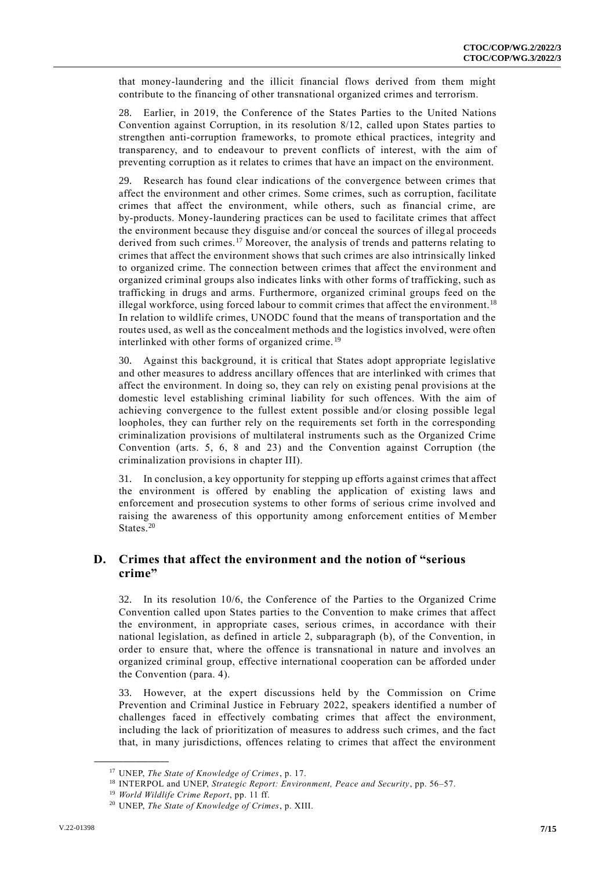that money-laundering and the illicit financial flows derived from them might contribute to the financing of other transnational organized crimes and terrorism.

28. Earlier, in 2019, the Conference of the States Parties to the United Nations Convention against Corruption, in its resolution 8/12, called upon States parties to strengthen anti-corruption frameworks, to promote ethical practices, integrity and transparency, and to endeavour to prevent conflicts of interest, with the aim of preventing corruption as it relates to crimes that have an impact on the environment.

29. Research has found clear indications of the convergence between crimes that affect the environment and other crimes. Some crimes, such as corruption, facilitate crimes that affect the environment, while others, such as financial crime, are by-products. Money-laundering practices can be used to facilitate crimes that affect the environment because they disguise and/or conceal the sources of illeg al proceeds derived from such crimes.<sup>17</sup> Moreover, the analysis of trends and patterns relating to crimes that affect the environment shows that such crimes are also intrinsically linked to organized crime. The connection between crimes that affect the environment and organized criminal groups also indicates links with other forms of trafficking, such as trafficking in drugs and arms. Furthermore, organized criminal groups feed on the illegal workforce, using forced labour to commit crimes that affect the environment.<sup>18</sup> In relation to wildlife crimes, UNODC found that the means of transportation and the routes used, as well as the concealment methods and the logistics involved, were often interlinked with other forms of organized crime. <sup>19</sup>

30. Against this background, it is critical that States adopt appropriate legislative and other measures to address ancillary offences that are interlinked with crimes that affect the environment. In doing so, they can rely on existing penal provisions at the domestic level establishing criminal liability for such offences. With the aim of achieving convergence to the fullest extent possible and/or closing possible legal loopholes, they can further rely on the requirements set forth in the corresponding criminalization provisions of multilateral instruments such as the Organized Crime Convention (arts. 5, 6, 8 and 23) and the Convention against Corruption (the criminalization provisions in chapter III).

31. In conclusion, a key opportunity for stepping up efforts against crimes that affect the environment is offered by enabling the application of existing laws and enforcement and prosecution systems to other forms of serious crime involved and raising the awareness of this opportunity among enforcement entities of Member States<sup>20</sup>

#### **D. Crimes that affect the environment and the notion of "serious crime"**

32. In its resolution 10/6, the Conference of the Parties to the Organized Crime Convention called upon States parties to the Convention to make crimes that affect the environment, in appropriate cases, serious crimes, in accordance with their national legislation, as defined in article 2, subparagraph (b), of the Convention, in order to ensure that, where the offence is transnational in nature and involves an organized criminal group, effective international cooperation can be afforded under the Convention (para. 4).

33. However, at the expert discussions held by the Commission on Crime Prevention and Criminal Justice in February 2022, speakers identified a number of challenges faced in effectively combating crimes that affect the environment, including the lack of prioritization of measures to address such crimes, and the fact that, in many jurisdictions, offences relating to crimes that affect the environment

<sup>17</sup> UNEP, *The State of Knowledge of Crimes*, p. 17.

<sup>18</sup> INTERPOL and UNEP, *Strategic Report: Environment, Peace and Security*, pp. 56–57.

<sup>19</sup> *World Wildlife Crime Report*, pp. 11 ff.

<sup>20</sup> UNEP, *The State of Knowledge of Crimes*, p. XIII.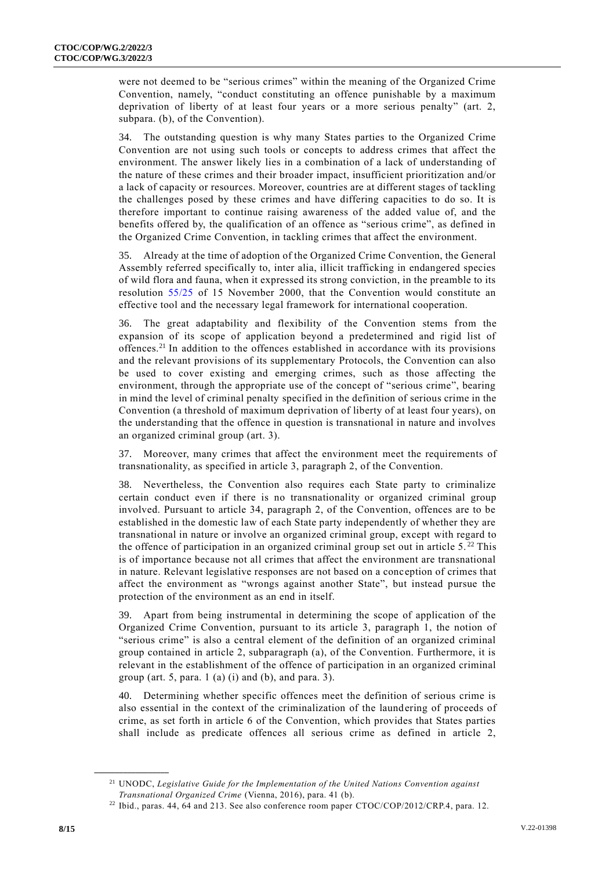were not deemed to be "serious crimes" within the meaning of the Organized Crime Convention, namely, "conduct constituting an offence punishable by a maximum deprivation of liberty of at least four years or a more serious penalty" (art. 2, subpara. (b), of the Convention).

34. The outstanding question is why many States parties to the Organized Crime Convention are not using such tools or concepts to address crimes that affect the environment. The answer likely lies in a combination of a lack of understanding of the nature of these crimes and their broader impact, insufficient prioritization and/or a lack of capacity or resources. Moreover, countries are at different stages of tackling the challenges posed by these crimes and have differing capacities to do so. It is therefore important to continue raising awareness of the added value of, and the benefits offered by, the qualification of an offence as "serious crime", as defined in the Organized Crime Convention, in tackling crimes that affect the environment.

35. Already at the time of adoption of the Organized Crime Convention, the General Assembly referred specifically to, inter alia, illicit trafficking in endangered species of wild flora and fauna, when it expressed its strong conviction, in the preamble to its resolution [55/25](http://undocs.org/A/RES/55/25) of 15 November 2000, that the Convention would constitute an effective tool and the necessary legal framework for international cooperation.

36. The great adaptability and flexibility of the Convention stems from the expansion of its scope of application beyond a predetermined and rigid list of offences.<sup>21</sup> In addition to the offences established in accordance with its provisions and the relevant provisions of its supplementary Protocols, the Convention can also be used to cover existing and emerging crimes, such as those affecting the environment, through the appropriate use of the concept of "serious crime", bearing in mind the level of criminal penalty specified in the definition of serious crime in the Convention (a threshold of maximum deprivation of liberty of at least four years), on the understanding that the offence in question is transnational in nature and involves an organized criminal group (art. 3).

37. Moreover, many crimes that affect the environment meet the requirements of transnationality, as specified in article 3, paragraph 2, of the Convention.

38. Nevertheless, the Convention also requires each State party to criminalize certain conduct even if there is no transnationality or organized criminal group involved. Pursuant to article 34, paragraph 2, of the Convention, offences are to be established in the domestic law of each State party independently of whether they are transnational in nature or involve an organized criminal group, except with regard to the offence of participation in an organized criminal group set out in article  $5.^{22}$  This is of importance because not all crimes that affect the environment are transnational in nature. Relevant legislative responses are not based on a conc eption of crimes that affect the environment as "wrongs against another State", but instead pursue the protection of the environment as an end in itself.

Apart from being instrumental in determining the scope of application of the Organized Crime Convention, pursuant to its article 3, paragraph 1, the notion of "serious crime" is also a central element of the definition of an organized criminal group contained in article 2, subparagraph (a), of the Convention. Furthermore, it is relevant in the establishment of the offence of participation in an organized criminal group (art. 5, para.  $1$  (a) (i) and (b), and para. 3).

40. Determining whether specific offences meet the definition of serious crime is also essential in the context of the criminalization of the laundering of proceeds of crime, as set forth in article 6 of the Convention, which provides that States parties shall include as predicate offences all serious crime as defined in article 2,

<sup>21</sup> UNODC, *Legislative Guide for the Implementation of the United Nations Convention against Transnational Organized Crime* (Vienna, 2016), para. 41 (b).

<sup>&</sup>lt;sup>22</sup> Ibid., paras. 44, 64 and 213. See also conference room paper CTOC/COP/2012/CRP.4, para. 12.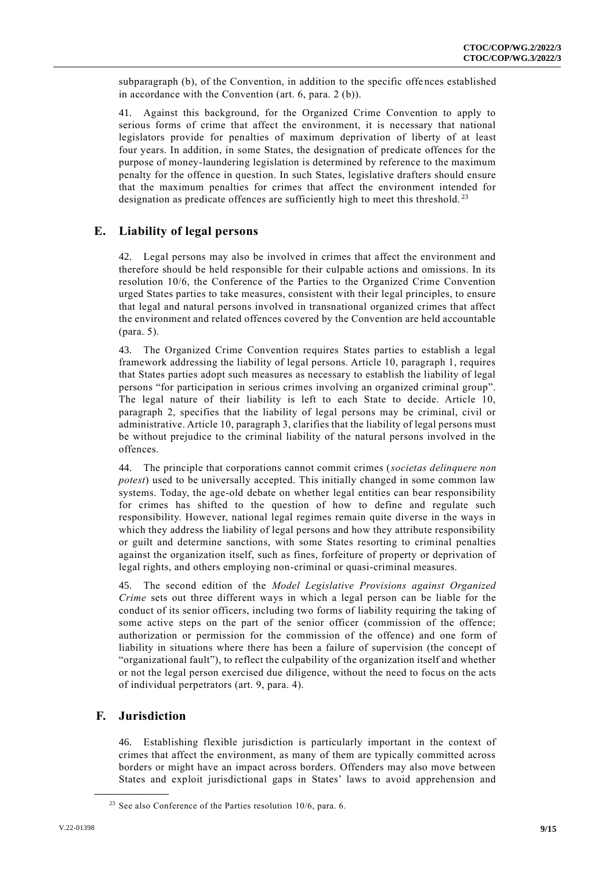subparagraph (b), of the Convention, in addition to the specific offences established in accordance with the Convention (art. 6, para. 2 (b)).

41. Against this background, for the Organized Crime Convention to apply to serious forms of crime that affect the environment, it is necessary that national legislators provide for penalties of maximum deprivation of liberty of at least four years. In addition, in some States, the designation of predicate offences for the purpose of money-laundering legislation is determined by reference to the maximum penalty for the offence in question. In such States, legislative drafters should ensure that the maximum penalties for crimes that affect the environment intended for designation as predicate offences are sufficiently high to meet this threshold.<sup>23</sup>

#### **E. Liability of legal persons**

42. Legal persons may also be involved in crimes that affect the environment and therefore should be held responsible for their culpable actions and omissions. In its resolution 10/6, the Conference of the Parties to the Organized Crime Convention urged States parties to take measures, consistent with their legal principles, to ensure that legal and natural persons involved in transnational organized crimes that affect the environment and related offences covered by the Convention are held accountable (para. 5).

43. The Organized Crime Convention requires States parties to establish a legal framework addressing the liability of legal persons. Article 10, paragraph 1, requires that States parties adopt such measures as necessary to establish the liability of legal persons "for participation in serious crimes involving an organized criminal group". The legal nature of their liability is left to each State to decide. Article 10, paragraph 2, specifies that the liability of legal persons may be criminal, civil or administrative. Article 10, paragraph 3, clarifies that the liability of legal persons must be without prejudice to the criminal liability of the natural persons involved in the offences.

44. The principle that corporations cannot commit crimes (*societas delinquere non potest*) used to be universally accepted. This initially changed in some common law systems. Today, the age-old debate on whether legal entities can bear responsibility for crimes has shifted to the question of how to define and regulate such responsibility. However, national legal regimes remain quite diverse in the ways in which they address the liability of legal persons and how they attribute responsibility or guilt and determine sanctions, with some States resorting to criminal penalties against the organization itself, such as fines, forfeiture of property or deprivation of legal rights, and others employing non-criminal or quasi-criminal measures.

45. The second edition of the *Model Legislative Provisions against Organized Crime* sets out three different ways in which a legal person can be liable for the conduct of its senior officers, including two forms of liability requiring the taking of some active steps on the part of the senior officer (commission of the offence; authorization or permission for the commission of the offence) and one form of liability in situations where there has been a failure of supervision (the concept of "organizational fault"), to reflect the culpability of the organization itself and whether or not the legal person exercised due diligence, without the need to focus on the acts of individual perpetrators (art. 9, para. 4).

#### **F. Jurisdiction**

**\_\_\_\_\_\_\_\_\_\_\_\_\_\_\_\_\_\_**

46. Establishing flexible jurisdiction is particularly important in the context of crimes that affect the environment, as many of them are typically committed across borders or might have an impact across borders. Offenders may also move between States and exploit jurisdictional gaps in States' laws to avoid apprehension and

 $23$  See also Conference of the Parties resolution 10/6, para. 6.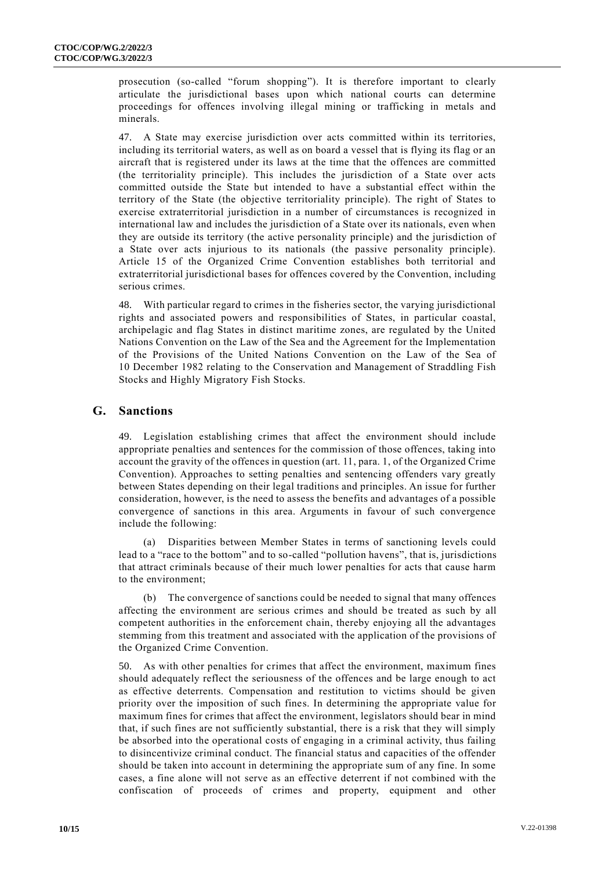prosecution (so-called "forum shopping"). It is therefore important to clearly articulate the jurisdictional bases upon which national courts can determine proceedings for offences involving illegal mining or trafficking in metals and minerals.

47. A State may exercise jurisdiction over acts committed within its territories, including its territorial waters, as well as on board a vessel that is flying its flag or an aircraft that is registered under its laws at the time that the offences are committed (the territoriality principle). This includes the jurisdiction of a State over acts committed outside the State but intended to have a substantial effect within the territory of the State (the objective territoriality principle). The right of States to exercise extraterritorial jurisdiction in a number of circumstances is recognized in international law and includes the jurisdiction of a State over its nationals, even when they are outside its territory (the active personality principle) and the jurisdiction of a State over acts injurious to its nationals (the passive personality principle). Article 15 of the Organized Crime Convention establishes both territorial and extraterritorial jurisdictional bases for offences covered by the Convention, including serious crimes.

48. With particular regard to crimes in the fisheries sector, the varying jurisdictional rights and associated powers and responsibilities of States, in particular coastal, archipelagic and flag States in distinct maritime zones, are regulated by the United Nations Convention on the Law of the Sea and the Agreement for the Implementation of the Provisions of the United Nations Convention on the Law of the Sea of 10 December 1982 relating to the Conservation and Management of Straddling Fish Stocks and Highly Migratory Fish Stocks.

#### **G. Sanctions**

49. Legislation establishing crimes that affect the environment should include appropriate penalties and sentences for the commission of those offences, taking into account the gravity of the offences in question (art. 11, para. 1, of the Organized Crime Convention). Approaches to setting penalties and sentencing offenders vary greatly between States depending on their legal traditions and principles. An issue for further consideration, however, is the need to assess the benefits and advantages of a possible convergence of sanctions in this area. Arguments in favour of such convergence include the following:

(a) Disparities between Member States in terms of sanctioning levels could lead to a "race to the bottom" and to so-called "pollution havens", that is, jurisdictions that attract criminals because of their much lower penalties for acts that cause harm to the environment;

(b) The convergence of sanctions could be needed to signal that many offences affecting the environment are serious crimes and should be treated as such by all competent authorities in the enforcement chain, thereby enjoying all the advantages stemming from this treatment and associated with the application of the provisions of the Organized Crime Convention.

50. As with other penalties for crimes that affect the environment, maximum fines should adequately reflect the seriousness of the offences and be large enough to act as effective deterrents. Compensation and restitution to victims should be given priority over the imposition of such fines. In determining the appropriate value for maximum fines for crimes that affect the environment, legislators should bear in mind that, if such fines are not sufficiently substantial, there is a risk that they will simply be absorbed into the operational costs of engaging in a criminal activity, thus failing to disincentivize criminal conduct. The financial status and capacities of the offender should be taken into account in determining the appropriate sum of any fine. In some cases, a fine alone will not serve as an effective deterrent if not combined with the confiscation of proceeds of crimes and property, equipment and other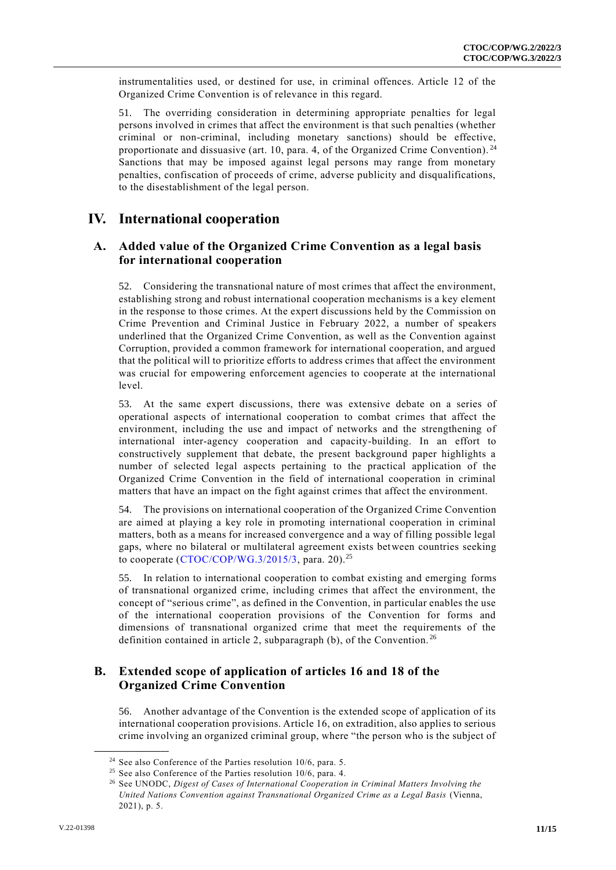instrumentalities used, or destined for use, in criminal offences. Article 12 of the Organized Crime Convention is of relevance in this regard.

51. The overriding consideration in determining appropriate penalties for legal persons involved in crimes that affect the environment is that such penalties (whether criminal or non-criminal, including monetary sanctions) should be effective, proportionate and dissuasive (art. 10, para. 4, of the Organized Crime Convention).<sup>24</sup> Sanctions that may be imposed against legal persons may range from monetary penalties, confiscation of proceeds of crime, adverse publicity and disqualifications, to the disestablishment of the legal person.

## **IV. International cooperation**

#### **A. Added value of the Organized Crime Convention as a legal basis for international cooperation**

52. Considering the transnational nature of most crimes that affect the environment, establishing strong and robust international cooperation mechanisms is a key element in the response to those crimes. At the expert discussions held by the Commission on Crime Prevention and Criminal Justice in February 2022, a number of speakers underlined that the Organized Crime Convention, as well as the Convention against Corruption, provided a common framework for international cooperation, and argued that the political will to prioritize efforts to address crimes that affect the environment was crucial for empowering enforcement agencies to cooperate at the international level.

53. At the same expert discussions, there was extensive debate on a series of operational aspects of international cooperation to combat crimes that affect the environment, including the use and impact of networks and the strengthening of international inter-agency cooperation and capacity-building. In an effort to constructively supplement that debate, the present background paper highlights a number of selected legal aspects pertaining to the practical application of the Organized Crime Convention in the field of international cooperation in criminal matters that have an impact on the fight against crimes that affect the environment.

54. The provisions on international cooperation of the Organized Crime Convention are aimed at playing a key role in promoting international cooperation in criminal matters, both as a means for increased convergence and a way of filling possible legal gaps, where no bilateral or multilateral agreement exists between countries seeking to cooperate  $(CTOC/COP/WG.3/2015/3,$  para. 20).<sup>25</sup>

55. In relation to international cooperation to combat existing and emerging forms of transnational organized crime, including crimes that affect the environment, the concept of "serious crime", as defined in the Convention, in particular enables the use of the international cooperation provisions of the Convention for forms and dimensions of transnational organized crime that meet the requirements of the definition contained in article 2, subparagraph (b), of the Convention. <sup>26</sup>

#### **B. Extended scope of application of articles 16 and 18 of the Organized Crime Convention**

56. Another advantage of the Convention is the extended scope of application of its international cooperation provisions. Article 16, on extradition, also applies to serious crime involving an organized criminal group, where "the person who is the subject of

<sup>&</sup>lt;sup>24</sup> See also Conference of the Parties resolution 10/6, para. 5.

<sup>25</sup> See also Conference of the Parties resolution 10/6, para. 4.

<sup>26</sup> See UNODC, *Digest of Cases of International Cooperation in Criminal Matters Involving the United Nations Convention against Transnational Organized Crime as a Legal Basis* (Vienna, 2021), p. 5.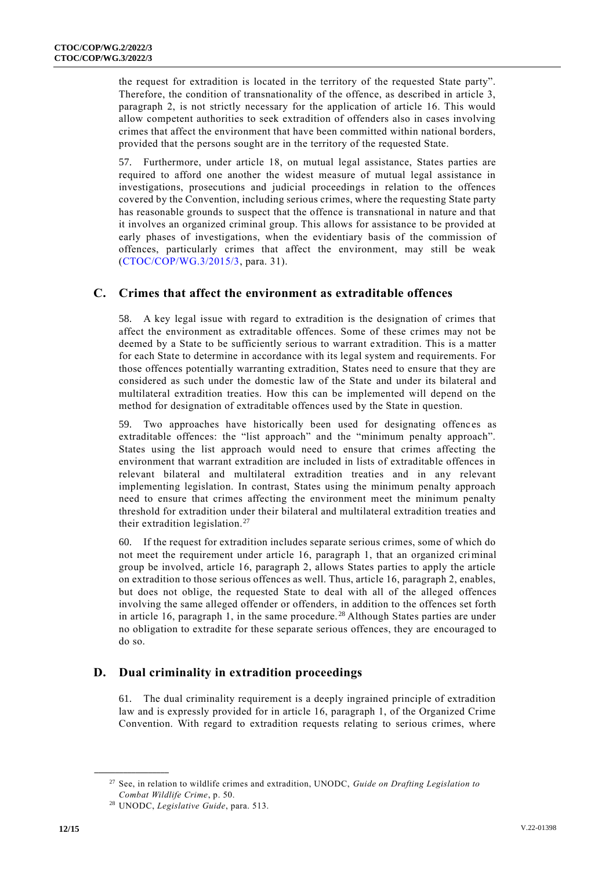the request for extradition is located in the territory of the requested State party". Therefore, the condition of transnationality of the offence, as described in article 3, paragraph 2, is not strictly necessary for the application of article 16. This would allow competent authorities to seek extradition of offenders also in cases involving crimes that affect the environment that have been committed within national borders, provided that the persons sought are in the territory of the requested State.

57. Furthermore, under article 18, on mutual legal assistance, States parties are required to afford one another the widest measure of mutual legal assistance in investigations, prosecutions and judicial proceedings in relation to the offences covered by the Convention, including serious crimes, where the requesting State party has reasonable grounds to suspect that the offence is transnational in nature and that it involves an organized criminal group. This allows for assistance to be provided at early phases of investigations, when the evidentiary basis of the commission of offences, particularly crimes that affect the environment, may still be weak [\(CTOC/COP/WG.3/2015/3,](http://undocs.org/CTOC/COP/WG.3/2015/3) para. 31).

#### **C. Crimes that affect the environment as extraditable offences**

58. A key legal issue with regard to extradition is the designation of crimes that affect the environment as extraditable offences. Some of these crimes may not be deemed by a State to be sufficiently serious to warrant extradition. This is a matter for each State to determine in accordance with its legal system and requirements. For those offences potentially warranting extradition, States need to ensure that they are considered as such under the domestic law of the State and under its bilateral and multilateral extradition treaties. How this can be implemented will depend on the method for designation of extraditable offences used by the State in question.

59. Two approaches have historically been used for designating offences as extraditable offences: the "list approach" and the "minimum penalty approach". States using the list approach would need to ensure that crimes affecting the environment that warrant extradition are included in lists of extraditable offences in relevant bilateral and multilateral extradition treaties and in any relevant implementing legislation. In contrast, States using the minimum penalty approach need to ensure that crimes affecting the environment meet the minimum penalty threshold for extradition under their bilateral and multilateral extradition treaties and their extradition legislation.<sup>27</sup>

60. If the request for extradition includes separate serious crimes, some of which do not meet the requirement under article 16, paragraph 1, that an organized criminal group be involved, article 16, paragraph 2, allows States parties to apply the article on extradition to those serious offences as well. Thus, article 16, paragraph 2, enables, but does not oblige, the requested State to deal with all of the alleged offences involving the same alleged offender or offenders, in addition to the offences set forth in article 16, paragraph 1, in the same procedure. <sup>28</sup> Although States parties are under no obligation to extradite for these separate serious offences, they are encouraged to do so.

#### **D. Dual criminality in extradition proceedings**

61. The dual criminality requirement is a deeply ingrained principle of extradition law and is expressly provided for in article 16, paragraph 1, of the Organized Crime Convention. With regard to extradition requests relating to serious crimes, where

<sup>27</sup> See, in relation to wildlife crimes and extradition, UNODC, *Guide on Drafting Legislation to Combat Wildlife Crime*, p. 50.

<sup>28</sup> UNODC, *Legislative Guide*, para. 513.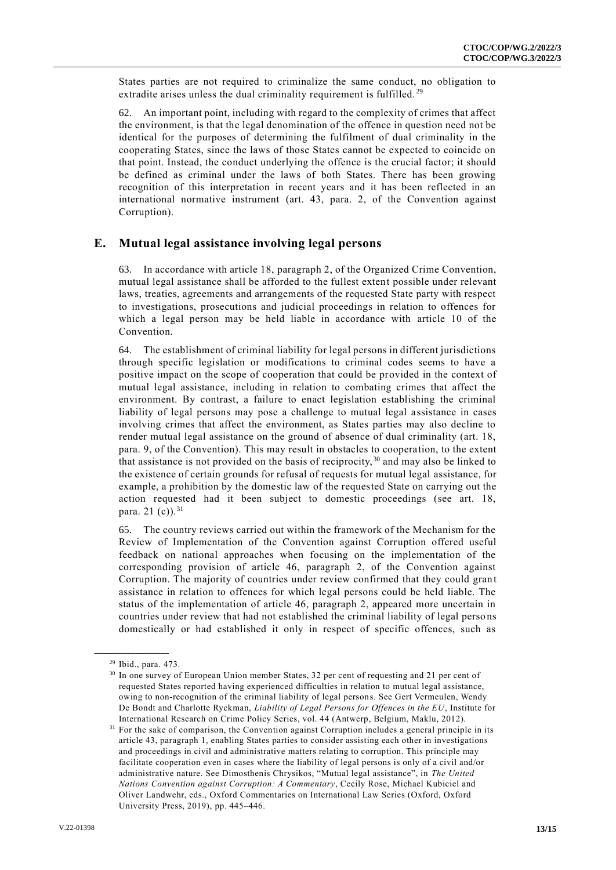States parties are not required to criminalize the same conduct, no obligation to extradite arises unless the dual criminality requirement is fulfilled.<sup>29</sup>

62. An important point, including with regard to the complexity of crimes that affect the environment, is that the legal denomination of the offence in question need not be identical for the purposes of determining the fulfilment of dual criminality in the cooperating States, since the laws of those States cannot be expected to coincide on that point. Instead, the conduct underlying the offence is the crucial factor; it should be defined as criminal under the laws of both States. There has been growing recognition of this interpretation in recent years and it has been reflected in an international normative instrument (art. 43, para. 2, of the Convention against Corruption).

#### **E. Mutual legal assistance involving legal persons**

63. In accordance with article 18, paragraph 2, of the Organized Crime Convention, mutual legal assistance shall be afforded to the fullest extent possible under relevant laws, treaties, agreements and arrangements of the requested State party with respect to investigations, prosecutions and judicial proceedings in relation to offences for which a legal person may be held liable in accordance with article 10 of the Convention.

64. The establishment of criminal liability for legal persons in different jurisdictions through specific legislation or modifications to criminal codes seems to have a positive impact on the scope of cooperation that could be provided in the context of mutual legal assistance, including in relation to combating crimes that affect the environment. By contrast, a failure to enact legislation establishing the criminal liability of legal persons may pose a challenge to mutual legal assistance in cases involving crimes that affect the environment, as States parties may also decline to render mutual legal assistance on the ground of absence of dual criminality (art. 18, para. 9, of the Convention). This may result in obstacles to cooperation, to the extent that assistance is not provided on the basis of reciprocity,  $30$  and may also be linked to the existence of certain grounds for refusal of requests for mutual legal assistance, for example, a prohibition by the domestic law of the requested State on carrying out the action requested had it been subject to domestic proceedings (see art. 18, para. 21 $(c)$ ).<sup>31</sup>

65. The country reviews carried out within the framework of the Mechanism for the Review of Implementation of the Convention against Corruption offered useful feedback on national approaches when focusing on the implementation of the corresponding provision of article 46, paragraph 2, of the Convention against Corruption. The majority of countries under review confirmed that they could gran t assistance in relation to offences for which legal persons could be held liable. The status of the implementation of article 46, paragraph 2, appeared more uncertain in countries under review that had not established the criminal liability of legal perso ns domestically or had established it only in respect of specific offences, such as

<sup>29</sup> Ibid., para. 473.

<sup>&</sup>lt;sup>30</sup> In one survey of European Union member States, 32 per cent of requesting and 21 per cent of requested States reported having experienced difficulties in relation to mutual legal assistance, owing to non-recognition of the criminal liability of legal persons. See Gert Vermeulen, Wendy De Bondt and Charlotte Ryckman, *Liability of Legal Persons for Offences in the EU*, Institute for International Research on Crime Policy Series, vol. 44 (Antwerp, Belgium, Maklu, 2012).

<sup>&</sup>lt;sup>31</sup> For the sake of comparison, the Convention against Corruption includes a general principle in its article 43, paragraph 1, enabling States parties to consider assisting each other in investigations and proceedings in civil and administrative matters relating to corruption. This principle may facilitate cooperation even in cases where the liability of legal persons is only of a civil and/or administrative nature. See Dimosthenis Chrysikos, "Mutual legal assistance", in *The United Nations Convention against Corruption: A Commentary*, Cecily Rose, Michael Kubiciel and Oliver Landwehr, eds., Oxford Commentaries on International Law Series (Oxford, Oxford University Press, 2019), pp. 445–446.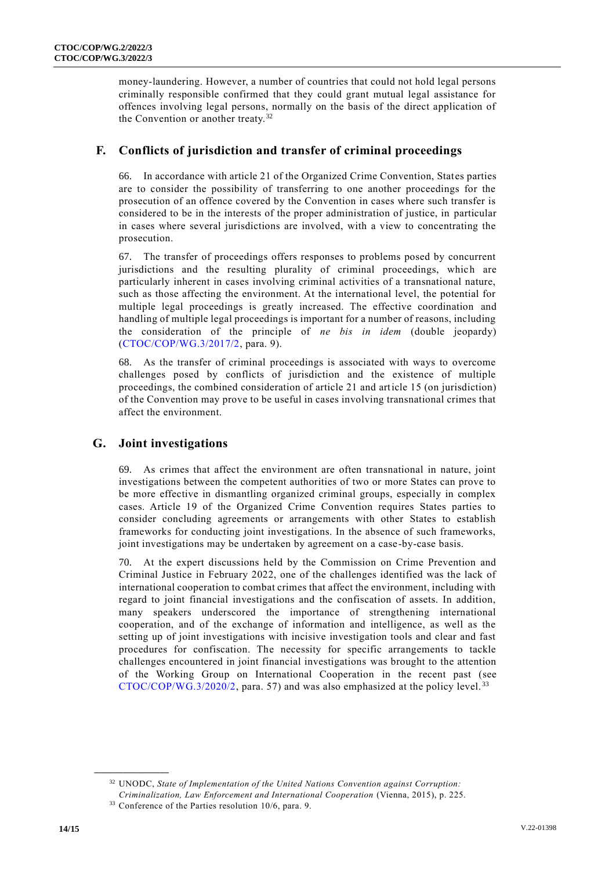money-laundering. However, a number of countries that could not hold legal persons criminally responsible confirmed that they could grant mutual legal assistance for offences involving legal persons, normally on the basis of the direct application of the Convention or another treaty.<sup>32</sup>

### **F. Conflicts of jurisdiction and transfer of criminal proceedings**

66. In accordance with article 21 of the Organized Crime Convention, States parties are to consider the possibility of transferring to one another proceedings for the prosecution of an offence covered by the Convention in cases where such transfer is considered to be in the interests of the proper administration of justice, in particular in cases where several jurisdictions are involved, with a view to concentrating the prosecution.

67. The transfer of proceedings offers responses to problems posed by concurrent jurisdictions and the resulting plurality of criminal proceedings, which are particularly inherent in cases involving criminal activities of a transnational nature, such as those affecting the environment. At the international level, the potential for multiple legal proceedings is greatly increased. The effective coordination and handling of multiple legal proceedings is important for a number of reasons, including the consideration of the principle of *ne bis in idem* (double jeopardy) [\(CTOC/COP/WG.3/2017/2,](https://www.unodc.org/documents/treaties/International_Cooperation_2017/V1705658_E.pdf) para. 9).

68. As the transfer of criminal proceedings is associated with ways to overcome challenges posed by conflicts of jurisdiction and the existence of multiple proceedings, the combined consideration of article 21 and article 15 (on jurisdiction) of the Convention may prove to be useful in cases involving transnational crimes that affect the environment.

## **G. Joint investigations**

69. As crimes that affect the environment are often transnational in nature, joint investigations between the competent authorities of two or more States can prove to be more effective in dismantling organized criminal groups, especially in complex cases. Article 19 of the Organized Crime Convention requires States parties to consider concluding agreements or arrangements with other States to establish frameworks for conducting joint investigations. In the absence of such frameworks, joint investigations may be undertaken by agreement on a case-by-case basis.

70. At the expert discussions held by the Commission on Crime Prevention and Criminal Justice in February 2022, one of the challenges identified was the lack of international cooperation to combat crimes that affect the environment, including with regard to joint financial investigations and the confiscation of assets. In addition, many speakers underscored the importance of strengthening international cooperation, and of the exchange of information and intelligence, as well as the setting up of joint investigations with incisive investigation tools and clear and fast procedures for confiscation. The necessity for specific arrangements to tackle challenges encountered in joint financial investigations was brought to the attention of the Working Group on International Cooperation in the recent past (see  $CTOC/COP/WG.3/2020/2$ , para. 57) and was also emphasized at the policy level.<sup>33</sup>

<sup>32</sup> UNODC, *State of Implementation of the United Nations Convention against Corruption:* 

*Criminalization, Law Enforcement and International Cooperation* (Vienna, 2015), p. 225.

<sup>&</sup>lt;sup>33</sup> Conference of the Parties resolution 10/6, para. 9.